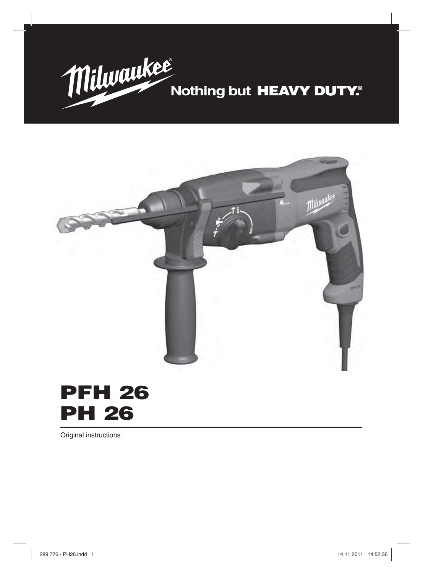





Original instructions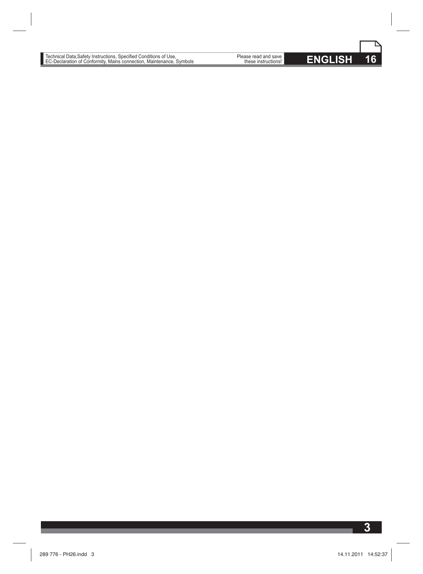| Technical Data. Safety Instructions, Specified Conditions of Use.<br>EC-Declaration of Conformity, Mains connection, Maintenance, Symbols | Please read and save<br>these instructions! | <b>ENGLISH</b> |  |
|-------------------------------------------------------------------------------------------------------------------------------------------|---------------------------------------------|----------------|--|

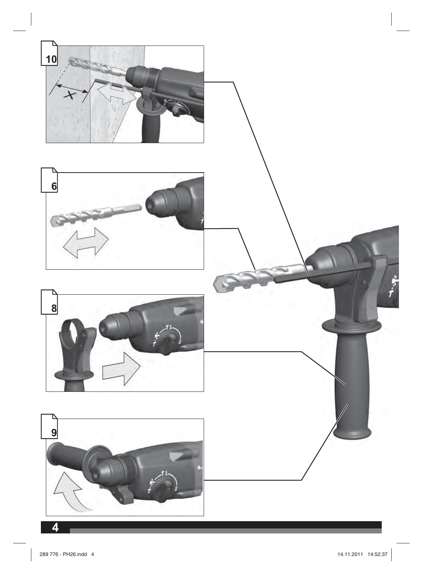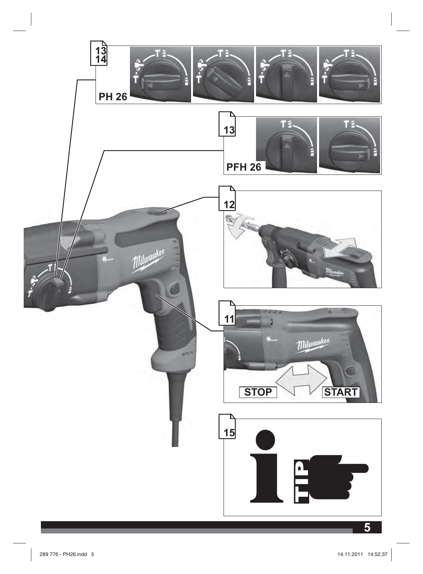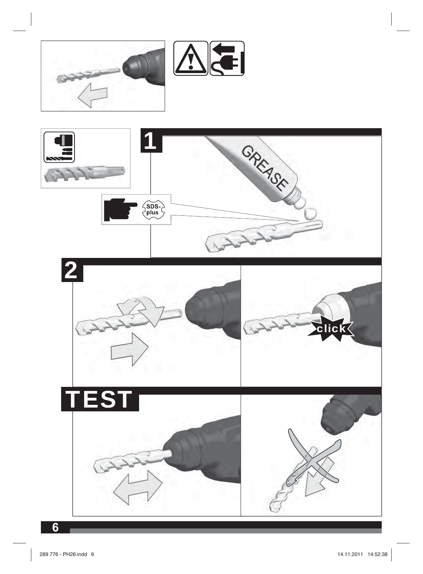



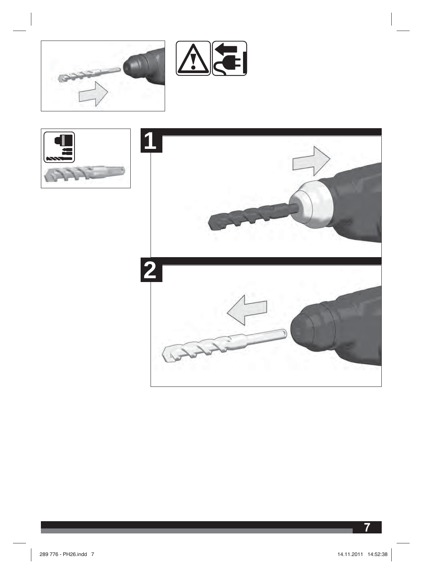



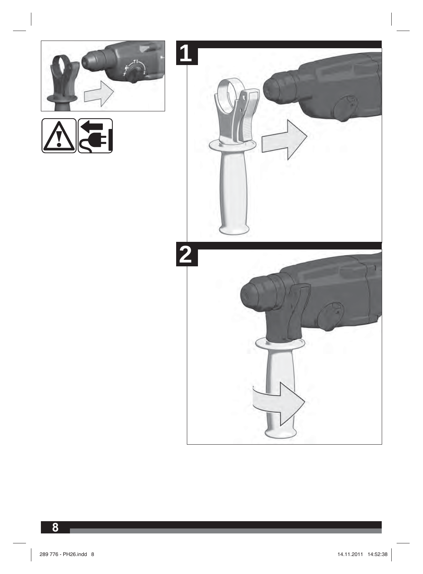



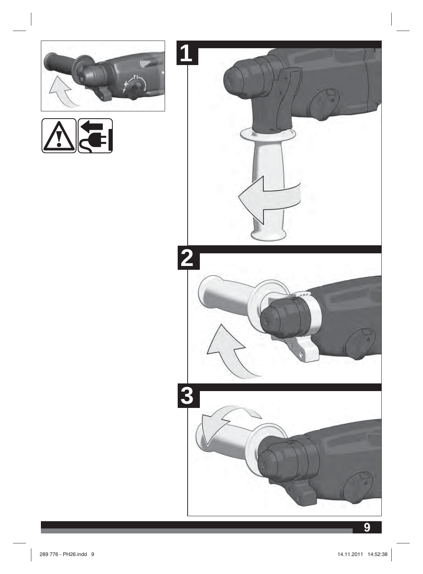



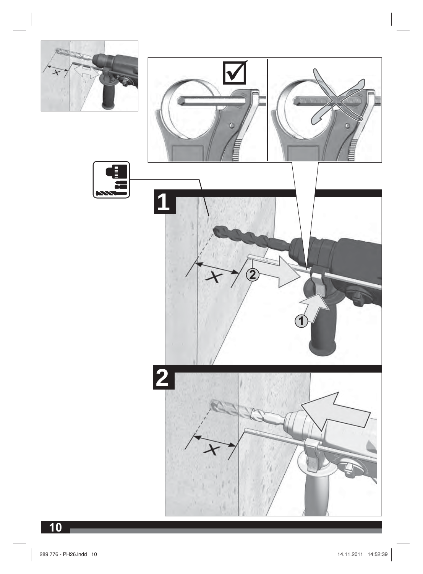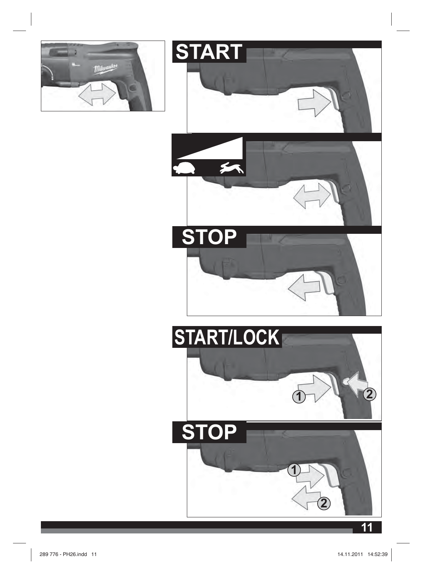



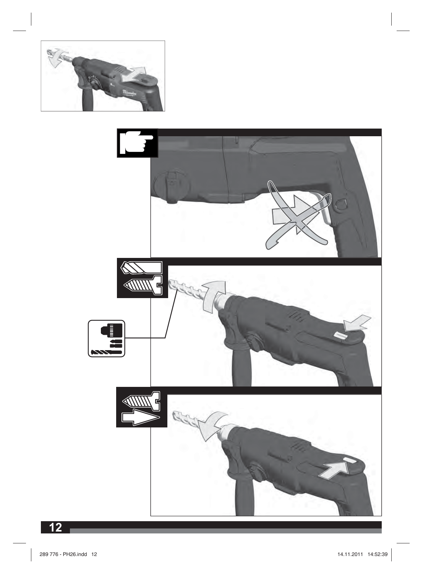



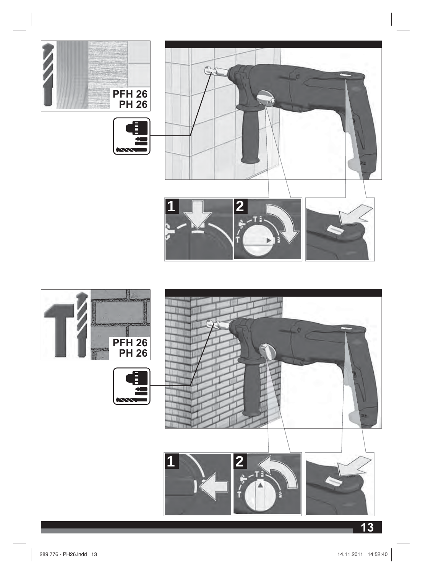













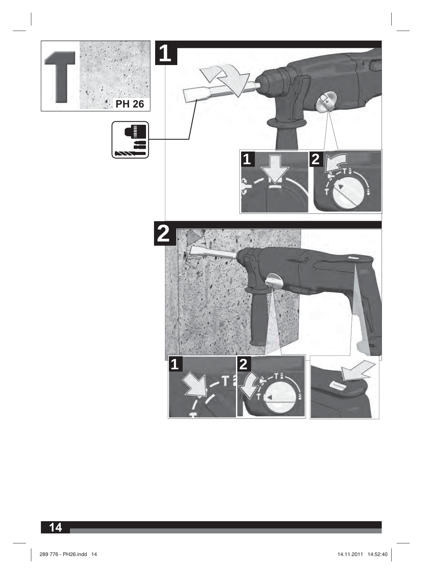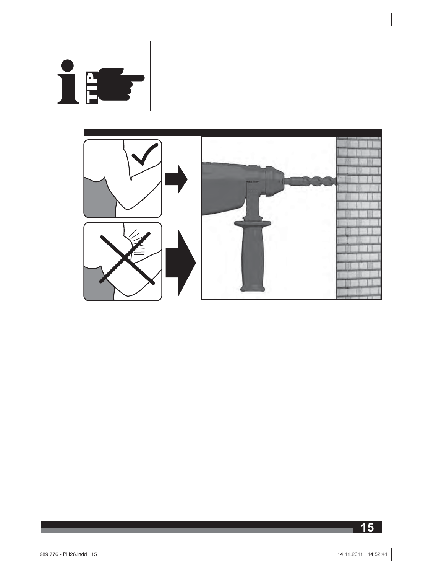



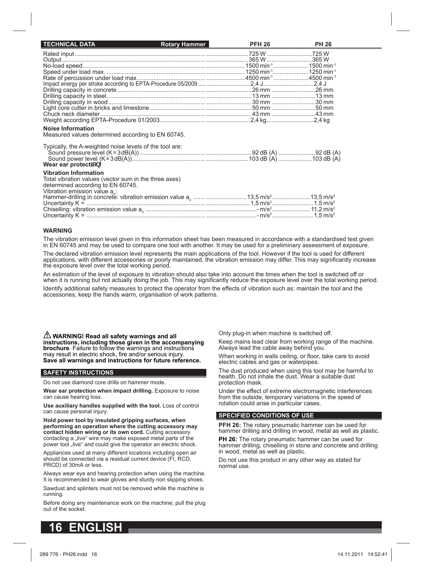| <b>TECHNICAL DATA</b>                                                                                                                                            | <b>Rotary Hammer</b> | <b>PFH 26</b> | <b>PH 26</b> |
|------------------------------------------------------------------------------------------------------------------------------------------------------------------|----------------------|---------------|--------------|
|                                                                                                                                                                  |                      |               |              |
|                                                                                                                                                                  |                      |               |              |
|                                                                                                                                                                  |                      |               |              |
|                                                                                                                                                                  |                      |               |              |
|                                                                                                                                                                  |                      |               |              |
|                                                                                                                                                                  |                      |               |              |
|                                                                                                                                                                  |                      |               |              |
|                                                                                                                                                                  |                      |               |              |
|                                                                                                                                                                  |                      |               |              |
|                                                                                                                                                                  |                      |               |              |
|                                                                                                                                                                  |                      |               |              |
|                                                                                                                                                                  |                      |               |              |
| <b>Noise Information</b><br>Measured values determined according to EN 60745.<br>Typically, the A-weighted noise levels of the tool are:<br>Wear ear protecticb! |                      |               |              |
| <b>Vibration Information</b><br>Total vibration values (vector sum in the three axes)<br>determined according to EN 60745.<br>Vibration emission value a.:       |                      |               |              |

### **WARNING**

The vibration emission level given in this information sheet has been measured in accordance with a standardised test given in EN 60745 and may be used to compare one tool with another. It may be used for a preliminary assessment of exposure.

The declared vibration emission level represents the main applications of the tool. However if the tool is used for different applications, with different accessories or poorly maintained, the vibration emission may differ. This may significantly increase the exposure level over the total working period.

An estimation of the level of exposure to vibration should also take into account the times when the tool is switched off or when it is running but not actually doing the job. This may significantly reduce the exposure level over the total working period. Identify additional safety measures to protect the operator from the effects of vibration such as: maintain the tool and the accessories, keep the hands warm, organisation of work patterns.

 **WARNING! Read all safety warnings and all instructions, including those given in the accompanying brochure**. Failure to follow the warnings and instructions may result in electric shock, fire and/or serious injury. **Save all warnings and instructions for future reference.** 

#### **SAFETY INSTRUCTIONS**

Do not use diamond core drills on hammer mode.

**Wear ear protection when impact drilling.** Exposure to noise **Use an cause hearing loss.** The total with the tool.

Use auxiliary handles supplied with the tool. Loss of control can cause personal injury.<sup>2</sup>

**Hold power tool by insulated gripping surfaces, when may contact hidden wiring or its own cord.** Cutting **performing an operation where the cutting accessory may**  performing an operation where the cutting accessory may<br>contact hidden wiring or its own cord. Cutting accessory contact muden wiring or its own cord. Cutting accessory<br>contacting a "live" wire may make exposed metal parts of the contacting a "live" wile may make exposed metal parts of the<br>power tool "live" and could give the operator an electric shock.

Appliances used at many different locations including open Appliances used at many different locations including open air Appliatices used at filarly different locations including open all<br>should be connected via a residual current device (FI, RCD, PRCD) of 30mA or less. It is in the machine. It is in the matrix of the matrix of the matrix of the matrix of the matrix of the matrix of the matrix of the matrix of the matrix of the matrix of the matrix of the matrix of

Always wear eye and hearing protection when using the machine.<br>It is recommended to wear abyse and aturaly non eliming aboos. It is recommended to wear gloves and sturdy non slipping shoes.

Sawdust and splinters must not be removed while the machine is running. Sawdust and splinters must not be removed while the machine is running.

Before doing any maintenance work on the machine, pull the plug<br>out of the cocket out of the socket.

Only plug-in when machine is switched off.

Keep mains lead clear from working range of the machine. Always lead the cable away behind you.

When working in walls ceiling, or floor, take care to avoid electric cables and gas or waterpipes.

The dust produced when using this tool may be harmful to health. Do not inhale the dust. Wear a suitable dust protection mask.

Under the effect of extreme electromagnetic interferences from the outside, temporary variations in the speed of rotation could arise in particular cases.

#### **SPECIFIED CONDITIONS OF USE**

**PFH 26:** The rotary pneumatic hammer can be used for hammer drilling and drilling in wood, metal as well as plastic.

**PH 26:** The rotary pneumatic hammer can be used for hammer drilling, chiselling in stone and concrete and drilling in wood, metal as well as plastic.

Do not use this product in any other way as stated for normal use.

#### **16 ENGLISH**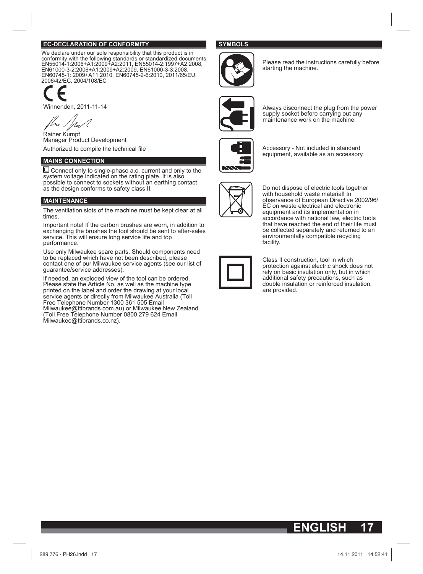### **EC-DECLARATION OF CONFORMITY**

We declare under our sole responsibility that this product is in conformity with the following standards or standardized documents. EN55014-1:2006+A1:2009+A2:2011, EN55014-2:1997+A2:2008, EN61000-3-2:2006+A1:2009+A2:2009, EN61000-3-3:2008, EN60745-1: 2009+A11:2010, EN60745-2-6:2010, 2011/65/EU, 2006/42/EC, 2004/108/EC



Winnenden, 2011-11-14

Rainer Kumpf Manager Product Development Authorized to compile the technical file

### **MAINS CONNECTION**

□ Connect only to single-phase a.c. current and only to the system voltage indicated on the rating plate. It is also possible to connect to sockets without an earthing contact as the design conforms to safety class II.

## **MAINTENANCE**

The ventilation slots of the machine must be kept clear at all times.

Important note! If the carbon brushes are worn, in addition to exchanging the brushes the tool should be sent to after-sales service. This will ensure long service life and top performance.

Use only Milwaukee spare parts. Should components need to be replaced which have not been described, please contact one of our Milwaukee service agents (see our list of guarantee/service addresses).

If needed, an exploded view of the tool can be ordered. Please state the Article No. as well as the machine type printed on the label and order the drawing at your local service agents or directly from Milwaukee Australia (Toll Free Telephone Number 1300 361 505 Email

Milwaukee@ttibrands.com.au) or Milwaukee New Zealand (Toll Free Telephone Number 0800 279 624 Email Milwaukee@ttibrands.co.nz).

# **SYMBOLS**



Please read the instructions carefully before starting the machine.



Always disconnect the plug from the power supply socket before carrying out any maintenance work on the machine.



Accessory - Not included in standard equipment, available as an accessory.



Do not dispose of electric tools together with household waste material! In observance of European Directive 2002/96/ EC on waste electrical and electronic equipment and its implementation in accordance with national law, electric tools that have reached the end of their life must be collected separately and returned to an environmentally compatible recycling facility.



Class II construction, tool in which protection against electric shock does not rely on basic insulation only, but in which additional safety precautions, such as double insulation or reinforced insulation, are provided.